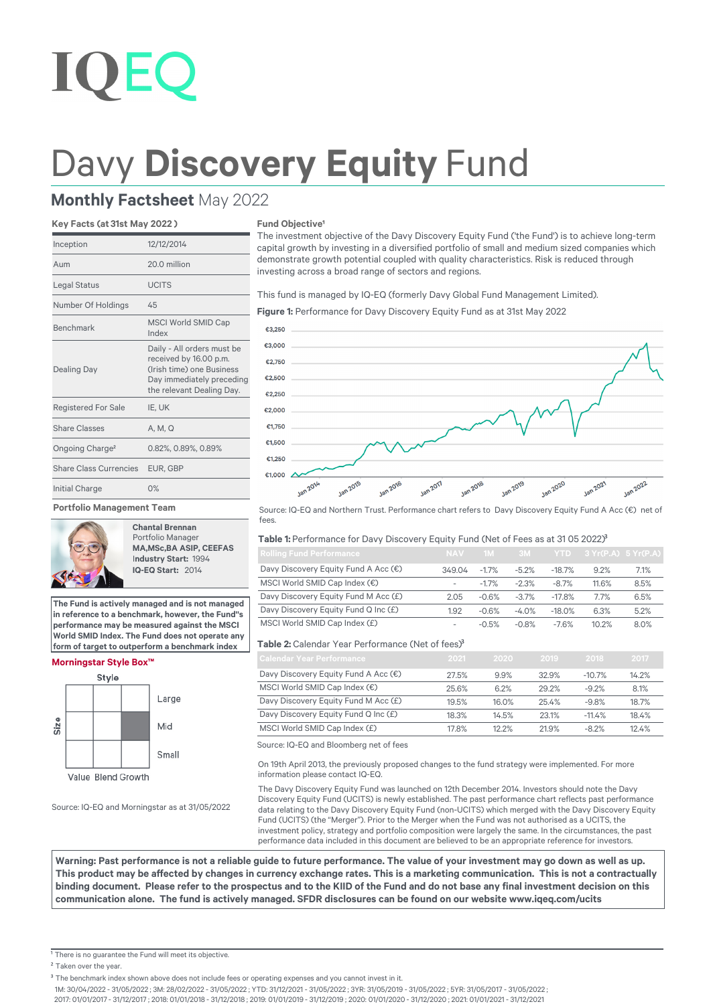# **IOEC**

## Davy **Discovery Equity** Fund

### **Monthly Factsheet** May 2022

#### **Key Facts (at 31st May 2022 )**

| Inception                   | 12/12/2014                                                                                                                                  |
|-----------------------------|---------------------------------------------------------------------------------------------------------------------------------------------|
| Aum                         | 20.0 million                                                                                                                                |
| <b>Legal Status</b>         | <b>UCITS</b>                                                                                                                                |
| Number Of Holdings          | 45                                                                                                                                          |
| <b>Benchmark</b>            | <b>MSCI World SMID Cap</b><br>Index                                                                                                         |
| <b>Dealing Day</b>          | Daily - All orders must be<br>received by 16.00 p.m.<br>(Irish time) one Business<br>Day immediately preceding<br>the relevant Dealing Day. |
| <b>Registered For Sale</b>  | IE, UK                                                                                                                                      |
| <b>Share Classes</b>        | A, M, Q                                                                                                                                     |
| Ongoing Charge <sup>2</sup> | 0.82%, 0.89%, 0.89%                                                                                                                         |
| Share Class Currencies      | EUR. GBP                                                                                                                                    |
| Initial Charge              | 0%                                                                                                                                          |

#### **Portfolio Management Team**



**Chantal Brennan** Portfolio Manager **MA,MSc,BA ASIP, CEEFAS** I**ndustry Start:** 1994  **IQ-EQ Start:** 2014

**The Fund is actively managed and is not managed in reference to a benchmark, however, the Fund''s performance may be measured against the MSCI World SMID Index. The Fund does not operate any form of target to outperform a benchmark index**

#### **Morningstar Style Box™**



Source: IQ-EQ and Morningstar as at 31/05/2022

#### **Fund Objective<sup>1</sup>**

The investment objective of the Davy Discovery Equity Fund ('the Fund') is to achieve long-term capital growth by investing in a diversified portfolio of small and medium sized companies which demonstrate growth potential coupled with quality characteristics. Risk is reduced through investing across a broad range of sectors and regions.

This fund is managed by IQ-EQ (formerly Davy Global Fund Management Limited).

**Figure 1:** Performance for Davy Discovery Equity Fund as at 31st May 2022



Source: IQ-EQ and Northern Trust. Performance chart refers to Davy Discovery Equity Fund A Acc (€) net of food

#### Table 1: Performance for Davy Discovery Equity Fund (Net of Fees as at 31 05 2022)<sup>3</sup>

| <b>Rolling Fund Performance</b>      | <b>NAV</b>               | 1M      | $-3M$   |          | $YTD$ 3 $Yr(P.A)$ 5 $Yr(P.A)$ |      |
|--------------------------------------|--------------------------|---------|---------|----------|-------------------------------|------|
| Davy Discovery Equity Fund A Acc (€) | 349.04                   | $-1.7%$ | $-5.2%$ | $-18.7%$ | 9.2%                          | 7.1% |
| MSCI World SMID Cap Index (€)        | $\overline{\phantom{a}}$ | $-1.7%$ | $-2.3%$ | $-8.7%$  | 11.6%                         | 8.5% |
| Davy Discovery Equity Fund M Acc (£) | 2.05                     | $-0.6%$ | $-3.7%$ | $-17.8%$ | 7.7%                          | 6.5% |
| Davy Discovery Equity Fund Q Inc (£) | 1.92                     | $-0.6%$ | $-4.0%$ | $-18.0%$ | 6.3%                          | 5.2% |
| MSCI World SMID Cap Index (£)        | $\overline{\phantom{0}}$ | $-0.5%$ | $-0.8%$ | $-7.6%$  | 10.2%                         | 8.0% |

#### **Table 2:** Calendar Year Performance (Net of fees)³

| Calendar Year Performance              | 2021  | 2020  | 2019  | 2018     | 2017  |
|----------------------------------------|-------|-------|-------|----------|-------|
| Davy Discovery Equity Fund A Acc (€)   | 27.5% | 9.9%  | 32.9% | $-10.7%$ | 14.2% |
| MSCI World SMID Cap Index $(\epsilon)$ | 25.6% | 6.2%  | 29.2% | $-9.2%$  | 8.1%  |
| Davy Discovery Equity Fund M Acc (£)   | 19.5% | 16.0% | 25.4% | $-9.8%$  | 18.7% |
| Davy Discovery Equity Fund Q Inc (£)   | 18.3% | 14.5% | 23.1% | $-11.4%$ | 18.4% |
| MSCI World SMID Cap Index (£)          | 17.8% | 12.2% | 21.9% | $-8.2%$  | 12.4% |

Source: IQ-EQ and Bloomberg net of fees

On 19th April 2013, the previously proposed changes to the fund strategy were implemented. For more information please contact IQ-EQ.

The Davy Discovery Equity Fund was launched on 12th December 2014. Investors should note the Davy Discovery Equity Fund (UCITS) is newly established. The past performance chart reflects past performance data relating to the Davy Discovery Equity Fund (non-UCITS) which merged with the Davy Discovery Equity Fund (UCITS) (the "Merger"). Prior to the Merger when the Fund was not authorised as a UCITS, the investment policy, strategy and portfolio composition were largely the same. In the circumstances, the past performance data included in this document are believed to be an appropriate reference for investors.

**Warning: Past performance is not a reliable guide to future performance. The value of your investment may go down as well as up.**  This product may be affected by changes in currency exchange rates. This is a marketing communication. This is not a contractually binding document. Please refer to the prospectus and to the KIID of the Fund and do not base any final investment decision on this communication alone. The fund is actively managed. SFDR disclosures can be found on our website www.iqeq.com/ucits

<sup>1</sup> There is no guarantee the Fund will meet its objective.

<sup>2</sup> Taken over the year.

1M: 30/04/2022 - 31/05/2022 ; 3M: 28/02/2022 - 31/05/2022 ; YTD: 31/12/2021 - 31/05/2022 ; 3YR: 31/05/2019 - 31/05/2022 ; 5YR: 31/05/2017 - 31/05/2022 ;

2017: 01/01/2017 - 31/12/2017 ; 2018: 01/01/2018 - 31/12/2018 ; 2019: 01/01/2019 - 31/12/2019 ; 2020: 01/01/2020 - 31/12/2020 ; 2021: 01/01/2021 - 31/12/2021

<sup>&</sup>lt;sup>3</sup> The benchmark index shown above does not include fees or operating expenses and you cannot invest in it.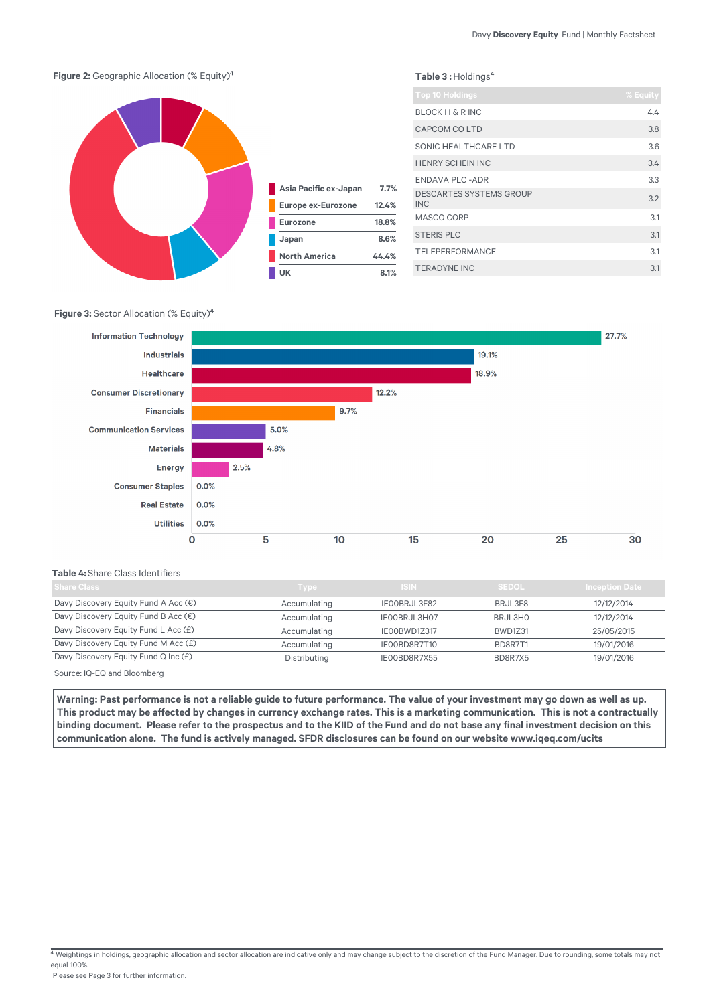

#### **Figure 3:** Sector Allocation (% Equity)<sup>4</sup>



#### **Table 4:** Share Class Identifiers

| <b>Share Class</b>                   | Type         | ISIN.        | <b>SEDOL</b> | <b>Inception Date</b> |
|--------------------------------------|--------------|--------------|--------------|-----------------------|
| Davy Discovery Equity Fund A Acc (€) | Accumulating | IEOOBRJL3F82 | BRJL3F8      | 12/12/2014            |
| Davy Discovery Equity Fund B Acc (€) | Accumulating | IE00BRJL3H07 | BRJL3H0      | 12/12/2014            |
| Davy Discovery Equity Fund L Acc (£) | Accumulating | IEOOBWD1Z317 | BWD1Z31      | 25/05/2015            |
| Davy Discovery Equity Fund M Acc (£) | Accumulating | IE00BD8R7T10 | BD8R7T1      | 19/01/2016            |
| Davy Discovery Equity Fund Q Inc (£) | Distributing | IE00BD8R7X55 | BD8R7X5      | 19/01/2016            |
|                                      |              |              |              |                       |

Source: IQ-EQ and Bloomberg

Warning: Past performance is not a reliable quide to future performance. The value of your investment may go down as well as up. This product may be affected by changes in currency exchange rates. This is a marketing communication. This is not a contractually binding document. Please refer to the prospectus and to the KIID of the Fund and do not base any final investment decision on this communication alone. The fund is actively managed. SFDR disclosures can be found on our website www.iqeq.com/ucits

 $4$  Weightings in holdings, geographic allocation and sector allocation are indicative only and may change subject to the discretion of the Fund Manager. Due to rounding, some totals may not equal 100%.

Please see Page 3 for further information.